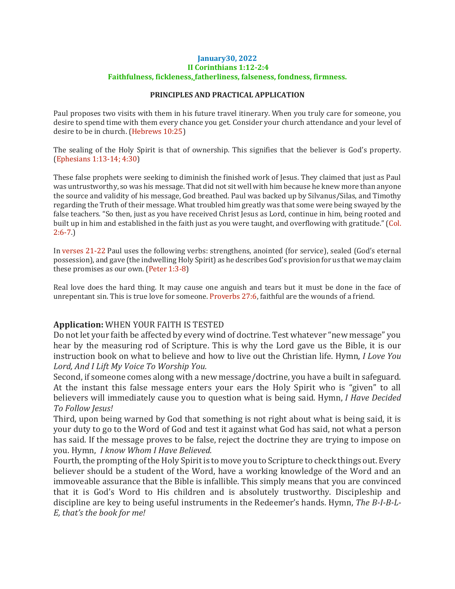## **January30, 2022 II Corinthians 1:12-2:4 Faithfulness, fickleness, fatherliness, falseness, fondness, firmness.**

## **PRINCIPLES AND PRACTICAL APPLICATION**

Paul proposes two visits with them in his future travel itinerary. When you truly care for someone, you desire to spend time with them every chance you get. Consider your church attendance and your level of desire to be in church. (Hebrews 10:25)

The sealing of the Holy Spirit is that of ownership. This signifies that the believer is God's property. (Ephesians 1:13-14; 4:30)

These false prophets were seeking to diminish the finished work of Jesus. They claimed that just as Paul was untrustworthy, so was his message. That did not sit well with him because he knew more than anyone the source and validity of his message, God breathed. Paul was backed up by Silvanus/Silas, and Timothy regarding the Truth of their message. What troubled him greatly was that some were being swayed by the false teachers. "So then, just as you have received Christ Jesus as Lord, continue in him, being rooted and built up in him and established in the faith just as you were taught, and overflowing with gratitude." (Col.  $2:6 - 7.$ 

In verses 21-22 Paul uses the following verbs: strengthens, anointed (for service), sealed (God's eternal possession), and gave (the indwelling Holy Spirit) as he describes God's provision for us that we may claim these promises as our own. (Peter 1:3-8)

Real love does the hard thing. It may cause one anguish and tears but it must be done in the face of unrepentant sin. This is true love for someone. Proverbs 27:6, faithful are the wounds of a friend.

## **Application:** WHEN YOUR FAITH IS TESTED

Do not let your faith be affected by every wind of doctrine. Test whatever "new message" you hear by the measuring rod of Scripture. This is why the Lord gave us the Bible, it is our instruction book on what to believe and how to live out the Christian life. Hymn, *I Love You Lord, And I Lift My Voice To Worship You.*

Second, if someone comes along with a new message/doctrine, you have a built in safeguard. At the instant this false message enters your ears the Holy Spirit who is "given" to all believers will immediately cause you to question what is being said. Hymn, *I Have Decided To Follow Jesus!*

Third, upon being warned by God that something is not right about what is being said, it is your duty to go to the Word of God and test it against what God has said, not what a person has said. If the message proves to be false, reject the doctrine they are trying to impose on you. Hymn, *I know Whom I Have Believed.*

Fourth, the prompting of the Holy Spirit is to move you to Scripture to check things out. Every believer should be a student of the Word, have a working knowledge of the Word and an immoveable assurance that the Bible is infallible. This simply means that you are convinced that it is God's Word to His children and is absolutely trustworthy. Discipleship and discipline are key to being useful instruments in the Redeemer's hands. Hymn, *The B-I-B-L-E, that's the book for me!*